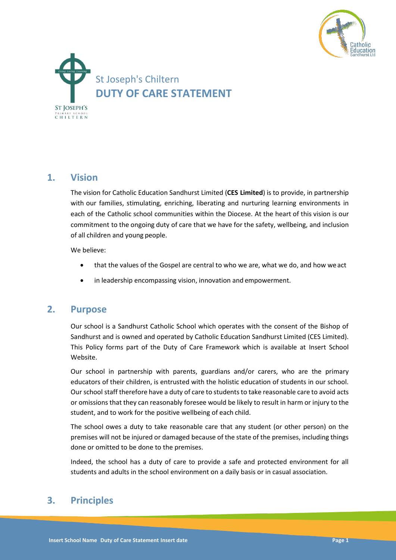



# **1. Vision**

The vision for Catholic Education Sandhurst Limited (**CES Limited**) is to provide, in partnership with our families, stimulating, enriching, liberating and nurturing learning environments in each of the Catholic school communities within the Diocese. At the heart of this vision is our commitment to the ongoing duty of care that we have for the safety, wellbeing, and inclusion of all children and young people.

We believe:

- that the values of the Gospel are central to who we are, what we do, and how we act
- in leadership encompassing vision, innovation and empowerment.

## **2. Purpose**

Our school is a Sandhurst Catholic School which operates with the consent of the Bishop of Sandhurst and is owned and operated by Catholic Education Sandhurst Limited (CES Limited). This Policy forms part of the Duty of Care Framework which is available at Insert School Website.

Our school in partnership with parents, guardians and/or carers, who are the primary educators of their children, is entrusted with the holistic education of students in our school. Our school staff therefore have a duty of care to students to take reasonable care to avoid acts or omissions that they can reasonably foresee would be likely to result in harm or injury to the student, and to work for the positive wellbeing of each child.

The school owes a duty to take reasonable care that any student (or other person) on the premises will not be injured or damaged because of the state of the premises, including things done or omitted to be done to the premises.

Indeed, the school has a duty of care to provide a safe and protected environment for all students and adults in the school environment on a daily basis or in casual association.

# **3. Principles**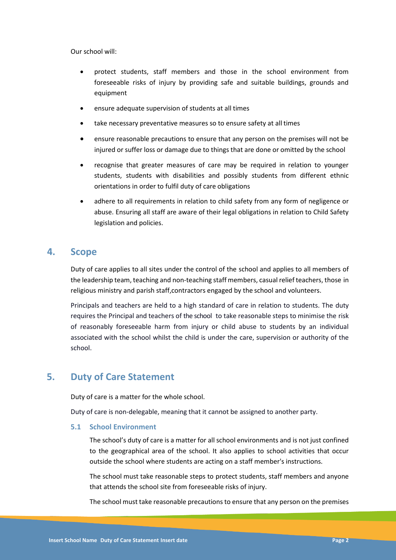Our school will:

- protect students, staff members and those in the school environment from foreseeable risks of injury by providing safe and suitable buildings, grounds and equipment
- ensure adequate supervision of students at all times
- take necessary preventative measures so to ensure safety at all times
- ensure reasonable precautions to ensure that any person on the premises will not be injured or suffer loss or damage due to things that are done or omitted by the school
- recognise that greater measures of care may be required in relation to younger students, students with disabilities and possibly students from different ethnic orientations in order to fulfil duty of care obligations
- adhere to all requirements in relation to child safety from any form of negligence or abuse. Ensuring all staff are aware of their legal obligations in relation to Child Safety legislation and policies.

### **4. Scope**

Duty of care applies to all sites under the control of the school and applies to all members of the leadership team, teaching and non-teaching staff members, casual relief teachers, those in religious ministry and parish staff,contractors engaged by the school and volunteers.

Principals and teachers are held to a high standard of care in relation to students. The duty requires the Principal and teachers of the school to take reasonable steps to minimise the risk of reasonably foreseeable harm from injury or child abuse to students by an individual associated with the school whilst the child is under the care, supervision or authority of the school.

# **5. Duty of Care Statement**

Duty of care is a matter for the whole school.

Duty of care is non-delegable, meaning that it cannot be assigned to another party.

#### **5.1 School Environment**

The school's duty of care is a matter for all school environments and is not just confined to the geographical area of the school. It also applies to school activities that occur outside the school where students are acting on a staff member's instructions.

The school must take reasonable steps to protect students, staff members and anyone that attends the school site from foreseeable risks of injury.

The school must take reasonable precautions to ensure that any person on the premises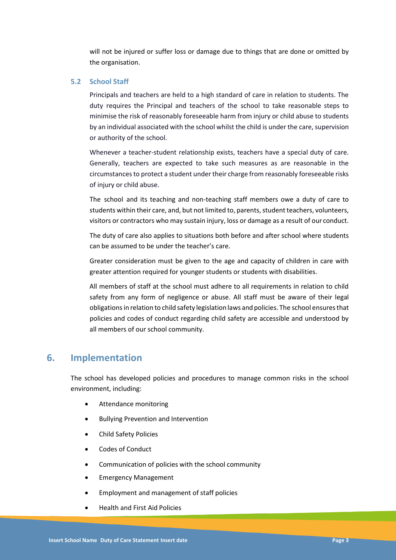will not be injured or suffer loss or damage due to things that are done or omitted by the organisation.

#### **5.2 School Staff**

Principals and teachers are held to a high standard of care in relation to students. The duty requires the Principal and teachers of the school to take reasonable steps to minimise the risk of reasonably foreseeable harm from injury or child abuse to students by an individual associated with the school whilst the child is under the care, supervision or authority of the school.

Whenever a teacher-student relationship exists, teachers have a special duty of care. Generally, teachers are expected to take such measures as are reasonable in the circumstances to protect a student under their charge from reasonably foreseeable risks of injury or child abuse.

The school and its teaching and non-teaching staff members owe a duty of care to students within their care, and, but not limited to, parents, student teachers, volunteers, visitors or contractors who may sustain injury, loss or damage as a result of our conduct.

The duty of care also applies to situations both before and after school where students can be assumed to be under the teacher's care.

Greater consideration must be given to the age and capacity of children in care with greater attention required for younger students or students with disabilities.

All members of staff at the school must adhere to all requirements in relation to child safety from any form of negligence or abuse. All staff must be aware of their legal obligations in relation to child safety legislation laws and policies. The school ensures that policies and codes of conduct regarding child safety are accessible and understood by all members of our school community.

## **6. Implementation**

The school has developed policies and procedures to manage common risks in the school environment, including:

- Attendance monitoring
- Bullying Prevention and Intervention
- Child Safety Policies
- Codes of Conduct
- Communication of policies with the school community
- Emergency Management
- Employment and management of staff policies
- Health and First Aid Policies